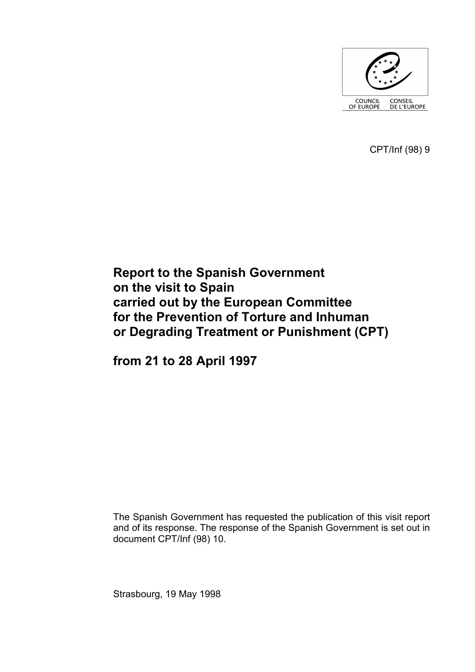

CPT/Inf (98) 9

# **Report to the Spanish Government on the visit to Spain carried out by the European Committee for the Prevention of Torture and Inhuman or Degrading Treatment or Punishment (CPT)**

**from 21 to 28 April 1997** 

The Spanish Government has requested the publication of this visit report and of its response. The response of the Spanish Government is set out in document CPT/Inf (98) 10.

Strasbourg, 19 May 1998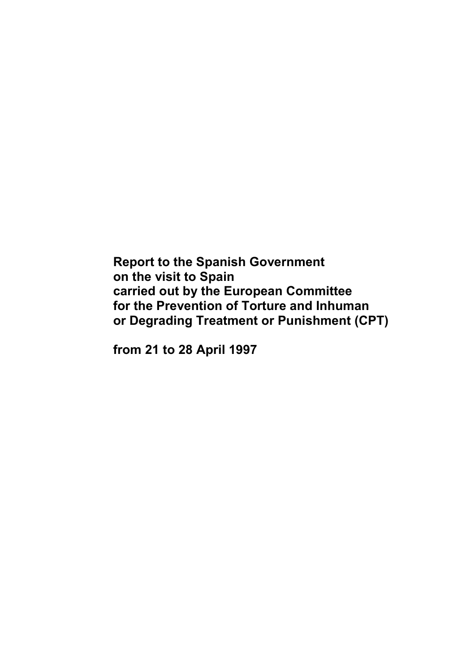**Report to the Spanish Government on the visit to Spain carried out by the European Committee for the Prevention of Torture and Inhuman or Degrading Treatment or Punishment (CPT)** 

**from 21 to 28 April 1997**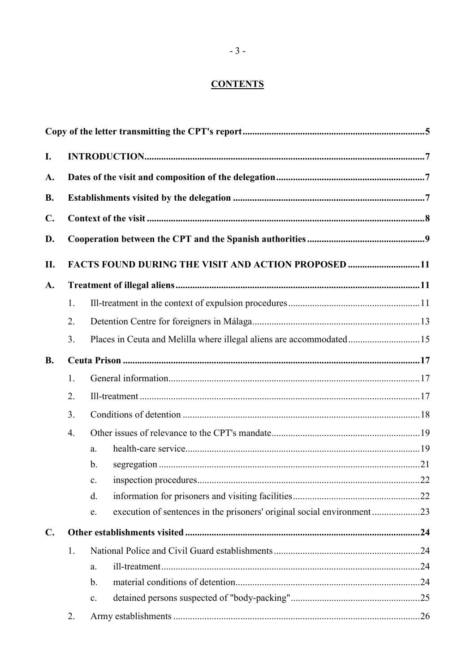# **CONTENTS**

| I.             |                  |                                                                     |  |  |  |
|----------------|------------------|---------------------------------------------------------------------|--|--|--|
| A.             |                  |                                                                     |  |  |  |
| <b>B.</b>      |                  |                                                                     |  |  |  |
| $\mathbf{C}$ . |                  |                                                                     |  |  |  |
| D.             |                  |                                                                     |  |  |  |
| П.             |                  | FACTS FOUND DURING THE VISIT AND ACTION PROPOSED 11                 |  |  |  |
| A.             |                  |                                                                     |  |  |  |
|                | 1.               |                                                                     |  |  |  |
|                | 2.               |                                                                     |  |  |  |
|                | 3.               | Places in Ceuta and Melilla where illegal aliens are accommodated15 |  |  |  |
| <b>B.</b>      |                  |                                                                     |  |  |  |
|                | 1.               |                                                                     |  |  |  |
|                | 2.               |                                                                     |  |  |  |
|                | 3 <sub>1</sub>   |                                                                     |  |  |  |
|                | $\overline{4}$ . |                                                                     |  |  |  |
|                |                  | a.                                                                  |  |  |  |
|                |                  | $\mathbf b$ .                                                       |  |  |  |
|                |                  | $\mathbf{c}$ .                                                      |  |  |  |
|                |                  | d.                                                                  |  |  |  |
|                |                  | e.                                                                  |  |  |  |
| $\mathbf{C}$ . |                  |                                                                     |  |  |  |
|                | 1.               |                                                                     |  |  |  |
|                |                  | a.                                                                  |  |  |  |
|                |                  | $b$ .                                                               |  |  |  |
|                |                  | $\mathbf{c}$ .                                                      |  |  |  |
|                | 2.               |                                                                     |  |  |  |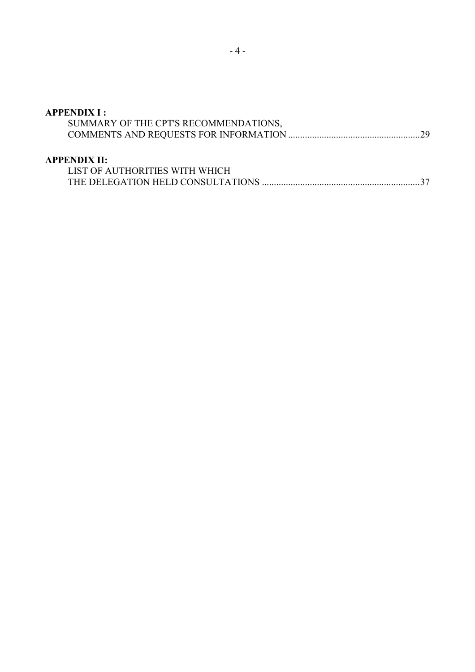# **APPENDIX I :**

| SUMMARY OF THE CPT'S RECOMMENDATIONS, |  |
|---------------------------------------|--|
|                                       |  |

#### **APPENDIX II:**

| LIST OF AUTHORITIES WITH WHICH |  |
|--------------------------------|--|
|                                |  |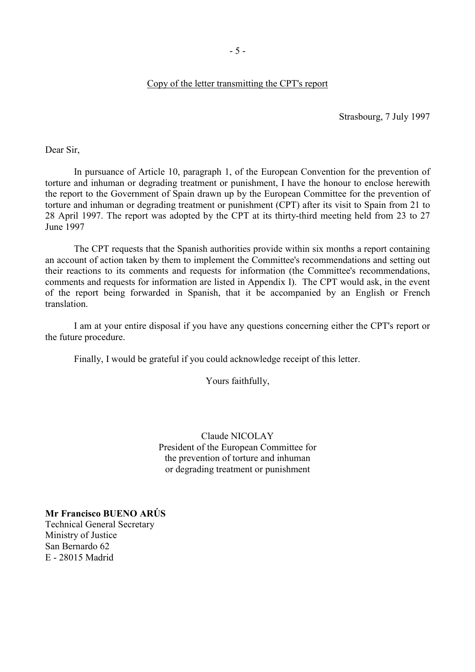#### Copy of the letter transmitting the CPT's report

Strasbourg, 7 July 1997

<span id="page-6-0"></span>Dear Sir,

 In pursuance of Article 10, paragraph 1, of the European Convention for the prevention of torture and inhuman or degrading treatment or punishment, I have the honour to enclose herewith the report to the Government of Spain drawn up by the European Committee for the prevention of torture and inhuman or degrading treatment or punishment (CPT) after its visit to Spain from 21 to 28 April 1997. The report was adopted by the CPT at its thirty-third meeting held from 23 to 27 June 1997

 The CPT requests that the Spanish authorities provide within six months a report containing an account of action taken by them to implement the Committee's recommendations and setting out their reactions to its comments and requests for information (the Committee's recommendations, comments and requests for information are listed in Appendix I). The CPT would ask, in the event of the report being forwarded in Spanish, that it be accompanied by an English or French translation.

 I am at your entire disposal if you have any questions concerning either the CPT's report or the future procedure.

Finally, I would be grateful if you could acknowledge receipt of this letter.

Yours faithfully,

Claude NICOLAY President of the European Committee for the prevention of torture and inhuman or degrading treatment or punishment

**Mr Francisco BUENO ARÚS** Technical General Secretary Ministry of Justice San Bernardo 62 E - 28015 Madrid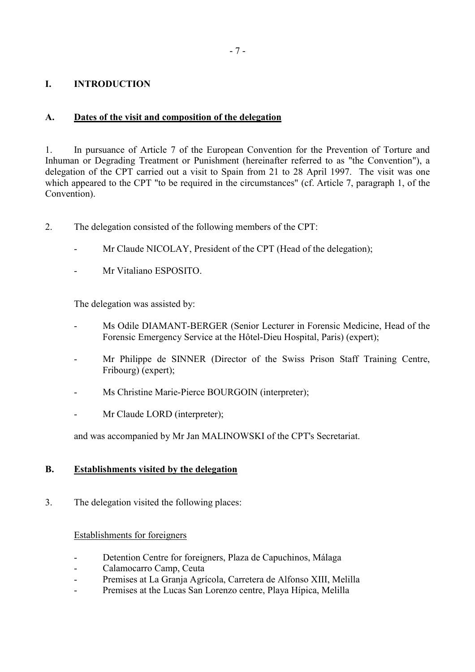### <span id="page-8-0"></span>**I. INTRODUCTION**

### **A. Dates of the visit and composition of the delegation**

1. In pursuance of Article 7 of the European Convention for the Prevention of Torture and Inhuman or Degrading Treatment or Punishment (hereinafter referred to as "the Convention"), a delegation of the CPT carried out a visit to Spain from 21 to 28 April 1997. The visit was one which appeared to the CPT "to be required in the circumstances" (cf. Article 7, paragraph 1, of the Convention).

- 2. The delegation consisted of the following members of the CPT:
	- Mr Claude NICOLAY, President of the CPT (Head of the delegation);
	- Mr Vitaliano ESPOSITO.

The delegation was assisted by:

- Ms Odile DIAMANT-BERGER (Senior Lecturer in Forensic Medicine, Head of the Forensic Emergency Service at the Hôtel-Dieu Hospital, Paris) (expert);
- Mr Philippe de SINNER (Director of the Swiss Prison Staff Training Centre, Fribourg) (expert);
- Ms Christine Marie-Pierce BOURGOIN (interpreter);
- Mr Claude LORD (interpreter);

and was accompanied by Mr Jan MALINOWSKI of the CPT's Secretariat.

### **B. Establishments visited by the delegation**

3. The delegation visited the following places:

#### Establishments for foreigners

- Detention Centre for foreigners, Plaza de Capuchinos, Málaga
- Calamocarro Camp, Ceuta
- Premises at La Granja Agrícola, Carretera de Alfonso XIII, Melilla
- Premises at the Lucas San Lorenzo centre, Playa Hípica, Melilla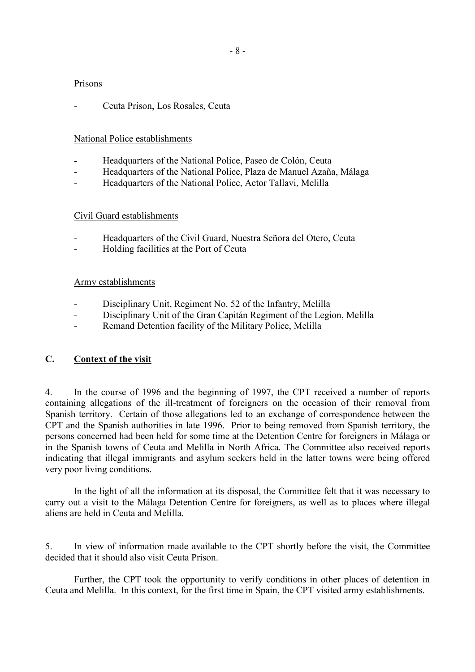#### <span id="page-9-0"></span>Prisons

- Ceuta Prison, Los Rosales, Ceuta

### National Police establishments

- Headquarters of the National Police, Paseo de Colón, Ceuta
- Headquarters of the National Police, Plaza de Manuel Azaña, Málaga
- Headquarters of the National Police, Actor Tallavi, Melilla

### Civil Guard establishments

- Headquarters of the Civil Guard, Nuestra Señora del Otero, Ceuta
- Holding facilities at the Port of Ceuta

### Army establishments

- Disciplinary Unit, Regiment No. 52 of the Infantry, Melilla
- Disciplinary Unit of the Gran Capitán Regiment of the Legion, Melilla
- Remand Detention facility of the Military Police, Melilla

# **C. Context of the visit**

4. In the course of 1996 and the beginning of 1997, the CPT received a number of reports containing allegations of the ill-treatment of foreigners on the occasion of their removal from Spanish territory. Certain of those allegations led to an exchange of correspondence between the CPT and the Spanish authorities in late 1996. Prior to being removed from Spanish territory, the persons concerned had been held for some time at the Detention Centre for foreigners in Málaga or in the Spanish towns of Ceuta and Melilla in North Africa. The Committee also received reports indicating that illegal immigrants and asylum seekers held in the latter towns were being offered very poor living conditions.

 In the light of all the information at its disposal, the Committee felt that it was necessary to carry out a visit to the Málaga Detention Centre for foreigners, as well as to places where illegal aliens are held in Ceuta and Melilla.

5. In view of information made available to the CPT shortly before the visit, the Committee decided that it should also visit Ceuta Prison.

 Further, the CPT took the opportunity to verify conditions in other places of detention in Ceuta and Melilla. In this context, for the first time in Spain, the CPT visited army establishments.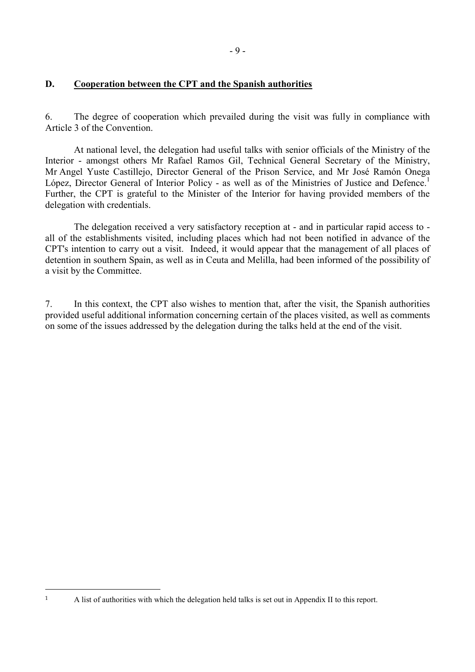### <span id="page-10-0"></span>**D. Cooperation between the CPT and the Spanish authorities**

6. The degree of cooperation which prevailed during the visit was fully in compliance with Article 3 of the Convention.

 At national level, the delegation had useful talks with senior officials of the Ministry of the Interior - amongst others Mr Rafael Ramos Gil, Technical General Secretary of the Ministry, Mr Angel Yuste Castillejo, Director General of the Prison Service, and Mr José Ramón Onega López, Director General of Interior Policy - as well as of the Ministries of Justice and Defence.<sup>1</sup> Further, the CPT is grateful to the Minister of the Interior for having provided members of the delegation with credentials.

 The delegation received a very satisfactory reception at - and in particular rapid access to all of the establishments visited, including places which had not been notified in advance of the CPT's intention to carry out a visit. Indeed, it would appear that the management of all places of detention in southern Spain, as well as in Ceuta and Melilla, had been informed of the possibility of a visit by the Committee.

7. In this context, the CPT also wishes to mention that, after the visit, the Spanish authorities provided useful additional information concerning certain of the places visited, as well as comments on some of the issues addressed by the delegation during the talks held at the end of the visit.

<sup>1</sup> A list of authorities with which the delegation held talks is set out in Appendix II to this report.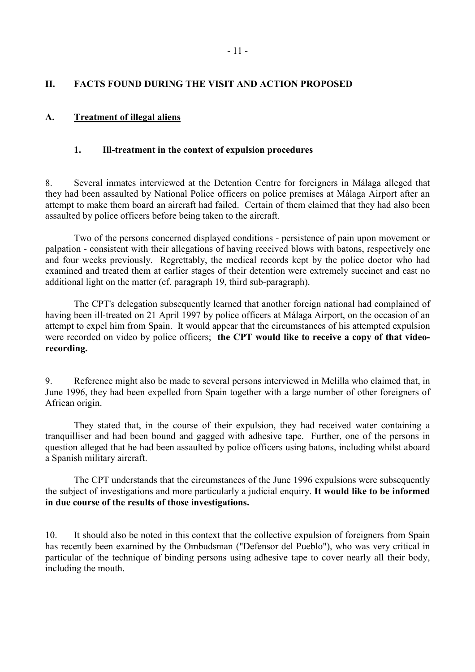### <span id="page-12-0"></span>**II. FACTS FOUND DURING THE VISIT AND ACTION PROPOSED**

### **A. Treatment of illegal aliens**

#### **1. Ill-treatment in the context of expulsion procedures**

8. Several inmates interviewed at the Detention Centre for foreigners in Málaga alleged that they had been assaulted by National Police officers on police premises at Málaga Airport after an attempt to make them board an aircraft had failed. Certain of them claimed that they had also been assaulted by police officers before being taken to the aircraft.

 Two of the persons concerned displayed conditions - persistence of pain upon movement or palpation - consistent with their allegations of having received blows with batons, respectively one and four weeks previously. Regrettably, the medical records kept by the police doctor who had examined and treated them at earlier stages of their detention were extremely succinct and cast no additional light on the matter (cf. paragraph 19, third sub-paragraph).

 The CPT's delegation subsequently learned that another foreign national had complained of having been ill-treated on 21 April 1997 by police officers at Málaga Airport, on the occasion of an attempt to expel him from Spain. It would appear that the circumstances of his attempted expulsion were recorded on video by police officers; **the CPT would like to receive a copy of that videorecording.**

9. Reference might also be made to several persons interviewed in Melilla who claimed that, in June 1996, they had been expelled from Spain together with a large number of other foreigners of African origin.

 They stated that, in the course of their expulsion, they had received water containing a tranquilliser and had been bound and gagged with adhesive tape. Further, one of the persons in question alleged that he had been assaulted by police officers using batons, including whilst aboard a Spanish military aircraft.

 The CPT understands that the circumstances of the June 1996 expulsions were subsequently the subject of investigations and more particularly a judicial enquiry. **It would like to be informed in due course of the results of those investigations.** 

10. It should also be noted in this context that the collective expulsion of foreigners from Spain has recently been examined by the Ombudsman ("Defensor del Pueblo"), who was very critical in particular of the technique of binding persons using adhesive tape to cover nearly all their body, including the mouth.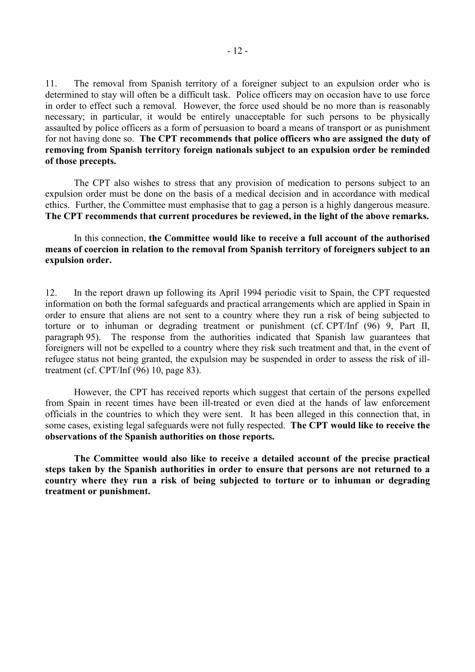11. The removal from Spanish territory of a foreigner subject to an expulsion order who is determined to stay will often be a difficult task. Police officers may on occasion have to use force in order to effect such a removal. However, the force used should be no more than is reasonably necessary; in particular, it would be entirely unacceptable for such persons to be physically assaulted by police officers as a form of persuasion to board a means of transport or as punishment for not having done so. **The CPT recommends that police officers who are assigned the duty of removing from Spanish territory foreign nationals subject to an expulsion order be reminded of those precepts.** 

 The CPT also wishes to stress that any provision of medication to persons subject to an expulsion order must be done on the basis of a medical decision and in accordance with medical ethics. Further, the Committee must emphasise that to gag a person is a highly dangerous measure. **The CPT recommends that current procedures be reviewed, in the light of the above remarks.**

 In this connection, **the Committee would like to receive a full account of the authorised means of coercion in relation to the removal from Spanish territory of foreigners subject to an expulsion order.**

12. In the report drawn up following its April 1994 periodic visit to Spain, the CPT requested information on both the formal safeguards and practical arrangements which are applied in Spain in order to ensure that aliens are not sent to a country where they run a risk of being subjected to torture or to inhuman or degrading treatment or punishment (cf. CPT/Inf (96) 9, Part II, paragraph 95). The response from the authorities indicated that Spanish law guarantees that foreigners will not be expelled to a country where they risk such treatment and that, in the event of refugee status not being granted, the expulsion may be suspended in order to assess the risk of illtreatment (cf. CPT/Inf (96) 10, page 83).

 However, the CPT has received reports which suggest that certain of the persons expelled from Spain in recent times have been ill-treated or even died at the hands of law enforcement officials in the countries to which they were sent. It has been alleged in this connection that, in some cases, existing legal safeguards were not fully respected. **The CPT would like to receive the observations of the Spanish authorities on those reports.** 

 **The Committee would also like to receive a detailed account of the precise practical steps taken by the Spanish authorities in order to ensure that persons are not returned to a country where they run a risk of being subjected to torture or to inhuman or degrading treatment or punishment.**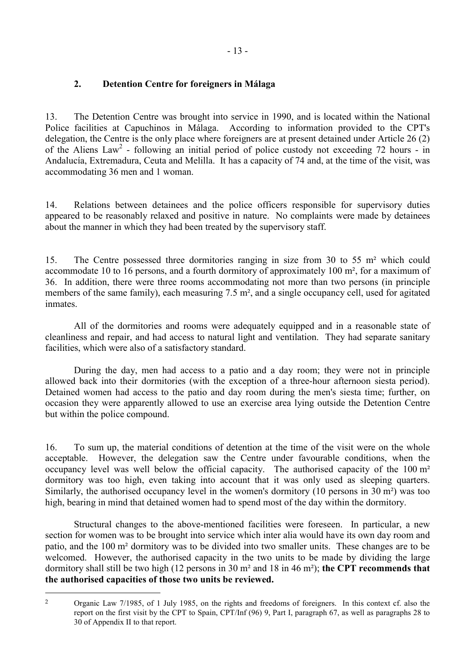### <span id="page-14-0"></span>**2. Detention Centre for foreigners in Málaga**

13. The Detention Centre was brought into service in 1990, and is located within the National Police facilities at Capuchinos in Málaga. According to information provided to the CPT's delegation, the Centre is the only place where foreigners are at present detained under Article 26 (2) of the Aliens  $Law^2$  - following an initial period of police custody not exceeding 72 hours - in Andalucía, Extremadura, Ceuta and Melilla. It has a capacity of 74 and, at the time of the visit, was accommodating 36 men and 1 woman.

14. Relations between detainees and the police officers responsible for supervisory duties appeared to be reasonably relaxed and positive in nature. No complaints were made by detainees about the manner in which they had been treated by the supervisory staff.

15. The Centre possessed three dormitories ranging in size from 30 to 55 m² which could accommodate 10 to 16 persons, and a fourth dormitory of approximately 100 m², for a maximum of 36. In addition, there were three rooms accommodating not more than two persons (in principle members of the same family), each measuring 7.5 m², and a single occupancy cell, used for agitated inmates.

 All of the dormitories and rooms were adequately equipped and in a reasonable state of cleanliness and repair, and had access to natural light and ventilation. They had separate sanitary facilities, which were also of a satisfactory standard.

 During the day, men had access to a patio and a day room; they were not in principle allowed back into their dormitories (with the exception of a three-hour afternoon siesta period). Detained women had access to the patio and day room during the men's siesta time; further, on occasion they were apparently allowed to use an exercise area lying outside the Detention Centre but within the police compound.

16. To sum up, the material conditions of detention at the time of the visit were on the whole acceptable. However, the delegation saw the Centre under favourable conditions, when the occupancy level was well below the official capacity. The authorised capacity of the 100 m² dormitory was too high, even taking into account that it was only used as sleeping quarters. Similarly, the authorised occupancy level in the women's dormitory (10 persons in 30 m²) was too high, bearing in mind that detained women had to spend most of the day within the dormitory.

 Structural changes to the above-mentioned facilities were foreseen. In particular, a new section for women was to be brought into service which inter alia would have its own day room and patio, and the 100 m² dormitory was to be divided into two smaller units. These changes are to be welcomed. However, the authorised capacity in the two units to be made by dividing the large dormitory shall still be two high (12 persons in 30 m² and 18 in 46 m²); **the CPT recommends that the authorised capacities of those two units be reviewed.**

 $\overline{a}$ 

<sup>2</sup> Organic Law 7/1985, of 1 July 1985, on the rights and freedoms of foreigners. In this context cf. also the report on the first visit by the CPT to Spain, CPT/Inf (96) 9, Part I, paragraph 67, as well as paragraphs 28 to 30 of Appendix II to that report.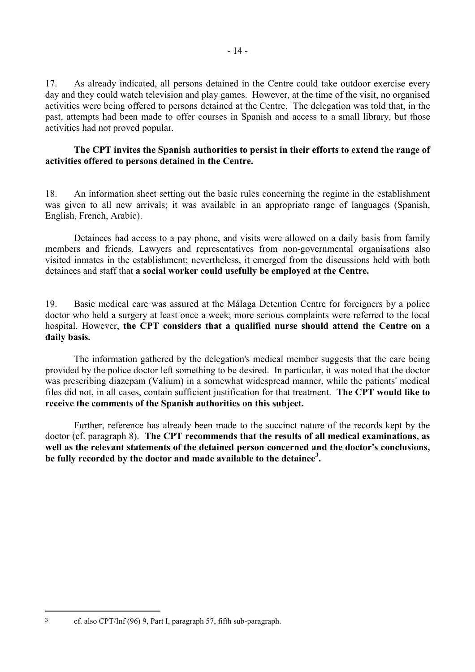17. As already indicated, all persons detained in the Centre could take outdoor exercise every day and they could watch television and play games. However, at the time of the visit, no organised activities were being offered to persons detained at the Centre. The delegation was told that, in the past, attempts had been made to offer courses in Spanish and access to a small library, but those activities had not proved popular.

### **The CPT invites the Spanish authorities to persist in their efforts to extend the range of activities offered to persons detained in the Centre.**

18. An information sheet setting out the basic rules concerning the regime in the establishment was given to all new arrivals; it was available in an appropriate range of languages (Spanish, English, French, Arabic).

 Detainees had access to a pay phone, and visits were allowed on a daily basis from family members and friends. Lawyers and representatives from non-governmental organisations also visited inmates in the establishment; nevertheless, it emerged from the discussions held with both detainees and staff that **a social worker could usefully be employed at the Centre.**

19. Basic medical care was assured at the Málaga Detention Centre for foreigners by a police doctor who held a surgery at least once a week; more serious complaints were referred to the local hospital. However, **the CPT considers that a qualified nurse should attend the Centre on a daily basis.**

 The information gathered by the delegation's medical member suggests that the care being provided by the police doctor left something to be desired. In particular, it was noted that the doctor was prescribing diazepam (Valium) in a somewhat widespread manner, while the patients' medical files did not, in all cases, contain sufficient justification for that treatment. **The CPT would like to receive the comments of the Spanish authorities on this subject.**

 Further, reference has already been made to the succinct nature of the records kept by the doctor (cf. paragraph 8). **The CPT recommends that the results of all medical examinations, as well as the relevant statements of the detained person concerned and the doctor's conclusions, be fully recorded by the doctor and made available to the detainee<sup>3</sup> .**

 $\overline{a}$ 

<sup>3</sup> cf. also CPT/Inf (96) 9, Part I, paragraph 57, fifth sub-paragraph.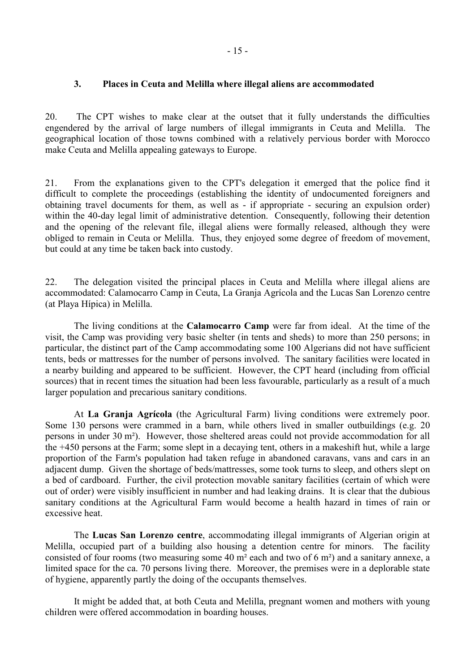### <span id="page-16-0"></span>**3. Places in Ceuta and Melilla where illegal aliens are accommodated**

20. The CPT wishes to make clear at the outset that it fully understands the difficulties engendered by the arrival of large numbers of illegal immigrants in Ceuta and Melilla. The geographical location of those towns combined with a relatively pervious border with Morocco make Ceuta and Melilla appealing gateways to Europe.

21. From the explanations given to the CPT's delegation it emerged that the police find it difficult to complete the proceedings (establishing the identity of undocumented foreigners and obtaining travel documents for them, as well as - if appropriate - securing an expulsion order) within the 40-day legal limit of administrative detention. Consequently, following their detention and the opening of the relevant file, illegal aliens were formally released, although they were obliged to remain in Ceuta or Melilla. Thus, they enjoyed some degree of freedom of movement, but could at any time be taken back into custody.

22. The delegation visited the principal places in Ceuta and Melilla where illegal aliens are accommodated: Calamocarro Camp in Ceuta, La Granja Agrícola and the Lucas San Lorenzo centre (at Playa Hípica) in Melilla.

 The living conditions at the **Calamocarro Camp** were far from ideal. At the time of the visit, the Camp was providing very basic shelter (in tents and sheds) to more than 250 persons; in particular, the distinct part of the Camp accommodating some 100 Algerians did not have sufficient tents, beds or mattresses for the number of persons involved. The sanitary facilities were located in a nearby building and appeared to be sufficient. However, the CPT heard (including from official sources) that in recent times the situation had been less favourable, particularly as a result of a much larger population and precarious sanitary conditions.

 At **La Granja Agrícola** (the Agricultural Farm) living conditions were extremely poor. Some 130 persons were crammed in a barn, while others lived in smaller outbuildings (e.g. 20 persons in under 30 m²). However, those sheltered areas could not provide accommodation for all the +450 persons at the Farm; some slept in a decaying tent, others in a makeshift hut, while a large proportion of the Farm's population had taken refuge in abandoned caravans, vans and cars in an adjacent dump. Given the shortage of beds/mattresses, some took turns to sleep, and others slept on a bed of cardboard. Further, the civil protection movable sanitary facilities (certain of which were out of order) were visibly insufficient in number and had leaking drains. It is clear that the dubious sanitary conditions at the Agricultural Farm would become a health hazard in times of rain or excessive heat.

 The **Lucas San Lorenzo centre**, accommodating illegal immigrants of Algerian origin at Melilla, occupied part of a building also housing a detention centre for minors. The facility consisted of four rooms (two measuring some 40 m² each and two of 6 m²) and a sanitary annexe, a limited space for the ca. 70 persons living there. Moreover, the premises were in a deplorable state of hygiene, apparently partly the doing of the occupants themselves.

 It might be added that, at both Ceuta and Melilla, pregnant women and mothers with young children were offered accommodation in boarding houses.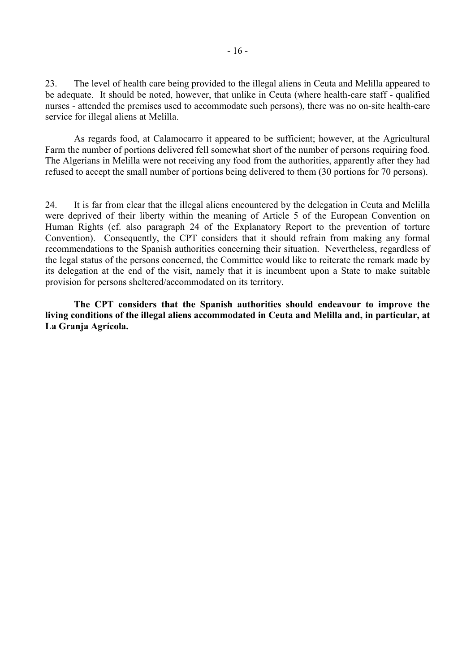23. The level of health care being provided to the illegal aliens in Ceuta and Melilla appeared to be adequate. It should be noted, however, that unlike in Ceuta (where health-care staff - qualified nurses - attended the premises used to accommodate such persons), there was no on-site health-care service for illegal aliens at Melilla.

 As regards food, at Calamocarro it appeared to be sufficient; however, at the Agricultural Farm the number of portions delivered fell somewhat short of the number of persons requiring food. The Algerians in Melilla were not receiving any food from the authorities, apparently after they had refused to accept the small number of portions being delivered to them (30 portions for 70 persons).

24. It is far from clear that the illegal aliens encountered by the delegation in Ceuta and Melilla were deprived of their liberty within the meaning of Article 5 of the European Convention on Human Rights (cf. also paragraph 24 of the Explanatory Report to the prevention of torture Convention). Consequently, the CPT considers that it should refrain from making any formal recommendations to the Spanish authorities concerning their situation. Nevertheless, regardless of the legal status of the persons concerned, the Committee would like to reiterate the remark made by its delegation at the end of the visit, namely that it is incumbent upon a State to make suitable provision for persons sheltered/accommodated on its territory.

 **The CPT considers that the Spanish authorities should endeavour to improve the living conditions of the illegal aliens accommodated in Ceuta and Melilla and, in particular, at La Granja Agrícola.**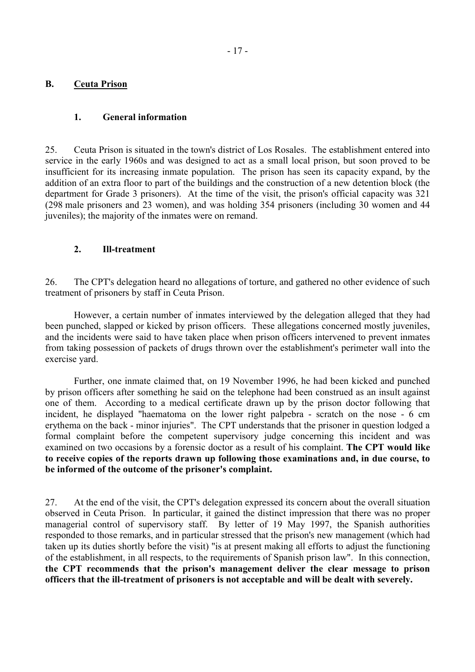### <span id="page-18-0"></span>**B. Ceuta Prison**

### **1. General information**

25. Ceuta Prison is situated in the town's district of Los Rosales. The establishment entered into service in the early 1960s and was designed to act as a small local prison, but soon proved to be insufficient for its increasing inmate population. The prison has seen its capacity expand, by the addition of an extra floor to part of the buildings and the construction of a new detention block (the department for Grade 3 prisoners). At the time of the visit, the prison's official capacity was 321 (298 male prisoners and 23 women), and was holding 354 prisoners (including 30 women and 44 juveniles); the majority of the inmates were on remand.

### **2. Ill-treatment**

26. The CPT's delegation heard no allegations of torture, and gathered no other evidence of such treatment of prisoners by staff in Ceuta Prison.

 However, a certain number of inmates interviewed by the delegation alleged that they had been punched, slapped or kicked by prison officers. These allegations concerned mostly juveniles, and the incidents were said to have taken place when prison officers intervened to prevent inmates from taking possession of packets of drugs thrown over the establishment's perimeter wall into the exercise yard.

 Further, one inmate claimed that, on 19 November 1996, he had been kicked and punched by prison officers after something he said on the telephone had been construed as an insult against one of them. According to a medical certificate drawn up by the prison doctor following that incident, he displayed "haematoma on the lower right palpebra - scratch on the nose - 6 cm erythema on the back - minor injuries". The CPT understands that the prisoner in question lodged a formal complaint before the competent supervisory judge concerning this incident and was examined on two occasions by a forensic doctor as a result of his complaint. **The CPT would like to receive copies of the reports drawn up following those examinations and, in due course, to be informed of the outcome of the prisoner's complaint.**

27. At the end of the visit, the CPT's delegation expressed its concern about the overall situation observed in Ceuta Prison. In particular, it gained the distinct impression that there was no proper managerial control of supervisory staff. By letter of 19 May 1997, the Spanish authorities responded to those remarks, and in particular stressed that the prison's new management (which had taken up its duties shortly before the visit) "is at present making all efforts to adjust the functioning of the establishment, in all respects, to the requirements of Spanish prison law". In this connection, **the CPT recommends that the prison's management deliver the clear message to prison officers that the ill-treatment of prisoners is not acceptable and will be dealt with severely.**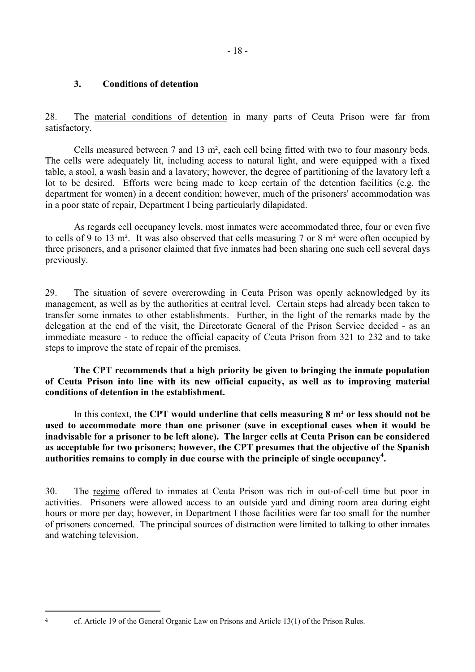### <span id="page-19-0"></span>**3. Conditions of detention**

28. The material conditions of detention in many parts of Ceuta Prison were far from satisfactory.

 Cells measured between 7 and 13 m², each cell being fitted with two to four masonry beds. The cells were adequately lit, including access to natural light, and were equipped with a fixed table, a stool, a wash basin and a lavatory; however, the degree of partitioning of the lavatory left a lot to be desired. Efforts were being made to keep certain of the detention facilities (e.g. the department for women) in a decent condition; however, much of the prisoners' accommodation was in a poor state of repair, Department I being particularly dilapidated.

 As regards cell occupancy levels, most inmates were accommodated three, four or even five to cells of 9 to 13 m². It was also observed that cells measuring 7 or 8 m² were often occupied by three prisoners, and a prisoner claimed that five inmates had been sharing one such cell several days previously.

29. The situation of severe overcrowding in Ceuta Prison was openly acknowledged by its management, as well as by the authorities at central level. Certain steps had already been taken to transfer some inmates to other establishments. Further, in the light of the remarks made by the delegation at the end of the visit, the Directorate General of the Prison Service decided - as an immediate measure - to reduce the official capacity of Ceuta Prison from 321 to 232 and to take steps to improve the state of repair of the premises.

 **The CPT recommends that a high priority be given to bringing the inmate population of Ceuta Prison into line with its new official capacity, as well as to improving material conditions of detention in the establishment.** 

 In this context, **the CPT would underline that cells measuring 8 m² or less should not be used to accommodate more than one prisoner (save in exceptional cases when it would be inadvisable for a prisoner to be left alone). The larger cells at Ceuta Prison can be considered as acceptable for two prisoners; however, the CPT presumes that the objective of the Spanish authorities remains to comply in due course with the principle of single occupancy<sup>4</sup> .**

30. The regime offered to inmates at Ceuta Prison was rich in out-of-cell time but poor in activities. Prisoners were allowed access to an outside yard and dining room area during eight hours or more per day; however, in Department I those facilities were far too small for the number of prisoners concerned. The principal sources of distraction were limited to talking to other inmates and watching television.

<sup>&</sup>lt;sup>4</sup> cf. Article 19 of the General Organic Law on Prisons and Article 13(1) of the Prison Rules.

 $\overline{a}$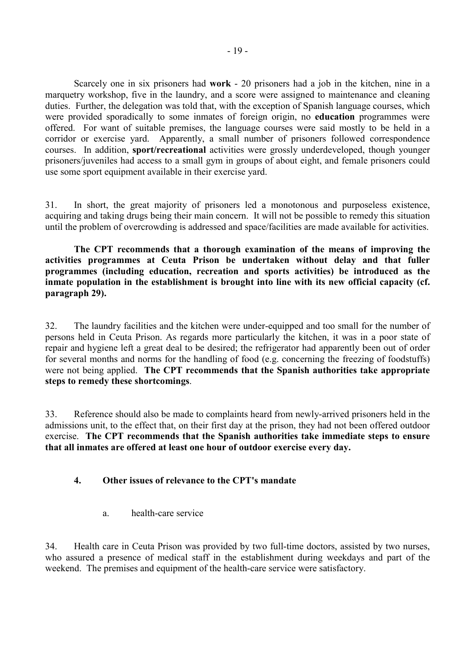<span id="page-20-0"></span> Scarcely one in six prisoners had **work** - 20 prisoners had a job in the kitchen, nine in a marquetry workshop, five in the laundry, and a score were assigned to maintenance and cleaning duties. Further, the delegation was told that, with the exception of Spanish language courses, which were provided sporadically to some inmates of foreign origin, no **education** programmes were offered. For want of suitable premises, the language courses were said mostly to be held in a corridor or exercise yard. Apparently, a small number of prisoners followed correspondence courses. In addition, **sport/recreational** activities were grossly underdeveloped, though younger prisoners/juveniles had access to a small gym in groups of about eight, and female prisoners could use some sport equipment available in their exercise yard.

31. In short, the great majority of prisoners led a monotonous and purposeless existence, acquiring and taking drugs being their main concern. It will not be possible to remedy this situation until the problem of overcrowding is addressed and space/facilities are made available for activities.

 **The CPT recommends that a thorough examination of the means of improving the activities programmes at Ceuta Prison be undertaken without delay and that fuller programmes (including education, recreation and sports activities) be introduced as the inmate population in the establishment is brought into line with its new official capacity (cf. paragraph 29).**

32. The laundry facilities and the kitchen were under-equipped and too small for the number of persons held in Ceuta Prison. As regards more particularly the kitchen, it was in a poor state of repair and hygiene left a great deal to be desired; the refrigerator had apparently been out of order for several months and norms for the handling of food (e.g. concerning the freezing of foodstuffs) were not being applied. **The CPT recommends that the Spanish authorities take appropriate steps to remedy these shortcomings**.

33. Reference should also be made to complaints heard from newly-arrived prisoners held in the admissions unit, to the effect that, on their first day at the prison, they had not been offered outdoor exercise. **The CPT recommends that the Spanish authorities take immediate steps to ensure that all inmates are offered at least one hour of outdoor exercise every day.**

### **4. Other issues of relevance to the CPT's mandate**

a. health-care service

34. Health care in Ceuta Prison was provided by two full-time doctors, assisted by two nurses, who assured a presence of medical staff in the establishment during weekdays and part of the weekend. The premises and equipment of the health-care service were satisfactory.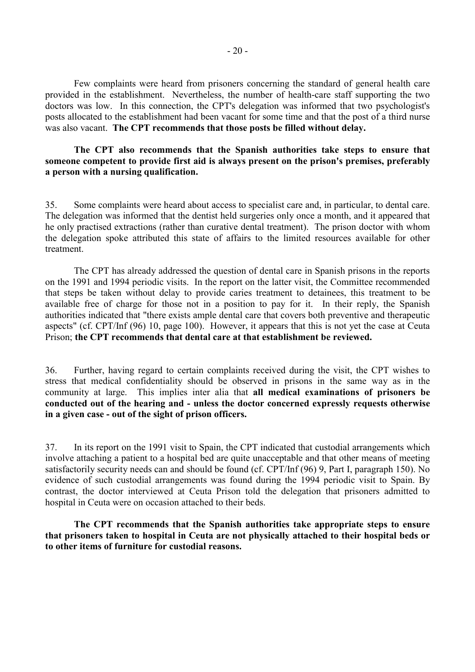Few complaints were heard from prisoners concerning the standard of general health care provided in the establishment. Nevertheless, the number of health-care staff supporting the two doctors was low. In this connection, the CPT's delegation was informed that two psychologist's posts allocated to the establishment had been vacant for some time and that the post of a third nurse was also vacant. **The CPT recommends that those posts be filled without delay.**

#### **The CPT also recommends that the Spanish authorities take steps to ensure that someone competent to provide first aid is always present on the prison's premises, preferably a person with a nursing qualification.**

35. Some complaints were heard about access to specialist care and, in particular, to dental care. The delegation was informed that the dentist held surgeries only once a month, and it appeared that he only practised extractions (rather than curative dental treatment). The prison doctor with whom the delegation spoke attributed this state of affairs to the limited resources available for other treatment.

 The CPT has already addressed the question of dental care in Spanish prisons in the reports on the 1991 and 1994 periodic visits. In the report on the latter visit, the Committee recommended that steps be taken without delay to provide caries treatment to detainees, this treatment to be available free of charge for those not in a position to pay for it. In their reply, the Spanish authorities indicated that "there exists ample dental care that covers both preventive and therapeutic aspects" (cf. CPT/Inf (96) 10, page 100). However, it appears that this is not yet the case at Ceuta Prison; **the CPT recommends that dental care at that establishment be reviewed.** 

36. Further, having regard to certain complaints received during the visit, the CPT wishes to stress that medical confidentiality should be observed in prisons in the same way as in the community at large. This implies inter alia that **all medical examinations of prisoners be conducted out of the hearing and - unless the doctor concerned expressly requests otherwise in a given case - out of the sight of prison officers.**

37. In its report on the 1991 visit to Spain, the CPT indicated that custodial arrangements which involve attaching a patient to a hospital bed are quite unacceptable and that other means of meeting satisfactorily security needs can and should be found (cf. CPT/Inf (96) 9, Part I, paragraph 150). No evidence of such custodial arrangements was found during the 1994 periodic visit to Spain. By contrast, the doctor interviewed at Ceuta Prison told the delegation that prisoners admitted to hospital in Ceuta were on occasion attached to their beds.

 **The CPT recommends that the Spanish authorities take appropriate steps to ensure that prisoners taken to hospital in Ceuta are not physically attached to their hospital beds or to other items of furniture for custodial reasons.**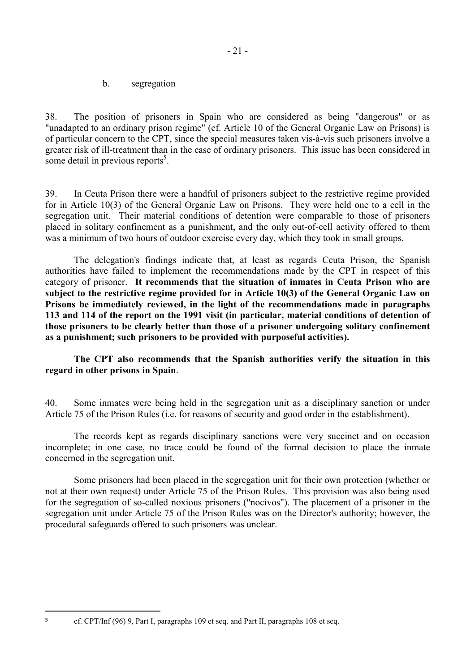b. segregation

<span id="page-22-0"></span>38. The position of prisoners in Spain who are considered as being "dangerous" or as "unadapted to an ordinary prison regime" (cf. Article 10 of the General Organic Law on Prisons) is of particular concern to the CPT, since the special measures taken vis-à-vis such prisoners involve a greater risk of ill-treatment than in the case of ordinary prisoners. This issue has been considered in some detail in previous reports<sup>5</sup>.

39. In Ceuta Prison there were a handful of prisoners subject to the restrictive regime provided for in Article 10(3) of the General Organic Law on Prisons. They were held one to a cell in the segregation unit. Their material conditions of detention were comparable to those of prisoners placed in solitary confinement as a punishment, and the only out-of-cell activity offered to them was a minimum of two hours of outdoor exercise every day, which they took in small groups.

 The delegation's findings indicate that, at least as regards Ceuta Prison, the Spanish authorities have failed to implement the recommendations made by the CPT in respect of this category of prisoner. **It recommends that the situation of inmates in Ceuta Prison who are subject to the restrictive regime provided for in Article 10(3) of the General Organic Law on Prisons be immediately reviewed, in the light of the recommendations made in paragraphs 113 and 114 of the report on the 1991 visit (in particular, material conditions of detention of those prisoners to be clearly better than those of a prisoner undergoing solitary confinement as a punishment; such prisoners to be provided with purposeful activities).**

### **The CPT also recommends that the Spanish authorities verify the situation in this regard in other prisons in Spain**.

40. Some inmates were being held in the segregation unit as a disciplinary sanction or under Article 75 of the Prison Rules (i.e. for reasons of security and good order in the establishment).

 The records kept as regards disciplinary sanctions were very succinct and on occasion incomplete; in one case, no trace could be found of the formal decision to place the inmate concerned in the segregation unit.

 Some prisoners had been placed in the segregation unit for their own protection (whether or not at their own request) under Article 75 of the Prison Rules. This provision was also being used for the segregation of so-called noxious prisoners ("nocivos"). The placement of a prisoner in the segregation unit under Article 75 of the Prison Rules was on the Director's authority; however, the procedural safeguards offered to such prisoners was unclear.

<sup>5</sup> cf. CPT/Inf (96) 9, Part I, paragraphs 109 et seq. and Part II, paragraphs 108 et seq.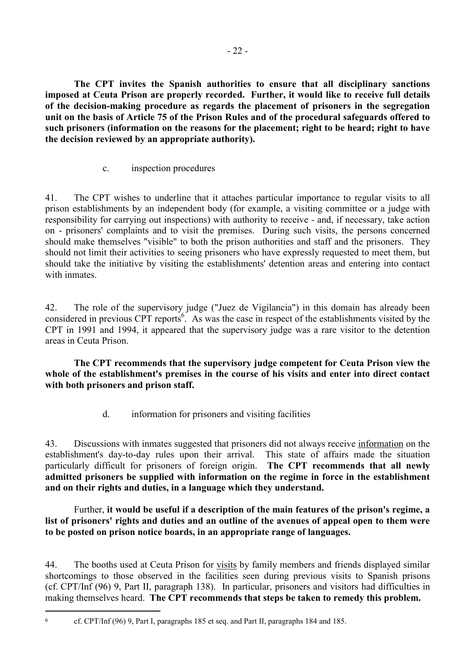<span id="page-23-0"></span> **The CPT invites the Spanish authorities to ensure that all disciplinary sanctions imposed at Ceuta Prison are properly recorded. Further, it would like to receive full details of the decision-making procedure as regards the placement of prisoners in the segregation unit on the basis of Article 75 of the Prison Rules and of the procedural safeguards offered to such prisoners (information on the reasons for the placement; right to be heard; right to have the decision reviewed by an appropriate authority).**

c. inspection procedures

41. The CPT wishes to underline that it attaches particular importance to regular visits to all prison establishments by an independent body (for example, a visiting committee or a judge with responsibility for carrying out inspections) with authority to receive - and, if necessary, take action on - prisoners' complaints and to visit the premises. During such visits, the persons concerned should make themselves "visible" to both the prison authorities and staff and the prisoners. They should not limit their activities to seeing prisoners who have expressly requested to meet them, but should take the initiative by visiting the establishments' detention areas and entering into contact with inmates

42. The role of the supervisory judge ("Juez de Vigilancia") in this domain has already been considered in previous CPT reports<sup>6</sup>. As was the case in respect of the establishments visited by the CPT in 1991 and 1994, it appeared that the supervisory judge was a rare visitor to the detention areas in Ceuta Prison.

 **The CPT recommends that the supervisory judge competent for Ceuta Prison view the whole of the establishment's premises in the course of his visits and enter into direct contact with both prisoners and prison staff.**

d. information for prisoners and visiting facilities

43. Discussions with inmates suggested that prisoners did not always receive information on the establishment's day-to-day rules upon their arrival. This state of affairs made the situation particularly difficult for prisoners of foreign origin. **The CPT recommends that all newly admitted prisoners be supplied with information on the regime in force in the establishment and on their rights and duties, in a language which they understand.**

 Further, **it would be useful if a description of the main features of the prison's regime, a list of prisoners' rights and duties and an outline of the avenues of appeal open to them were to be posted on prison notice boards, in an appropriate range of languages.**

44. The booths used at Ceuta Prison for visits by family members and friends displayed similar shortcomings to those observed in the facilities seen during previous visits to Spanish prisons (cf. CPT/Inf (96) 9, Part II, paragraph 138). In particular, prisoners and visitors had difficulties in making themselves heard. **The CPT recommends that steps be taken to remedy this problem.**

 $\overline{a}$ 

<sup>6</sup> cf. CPT/Inf (96) 9, Part I, paragraphs 185 et seq. and Part II, paragraphs 184 and 185.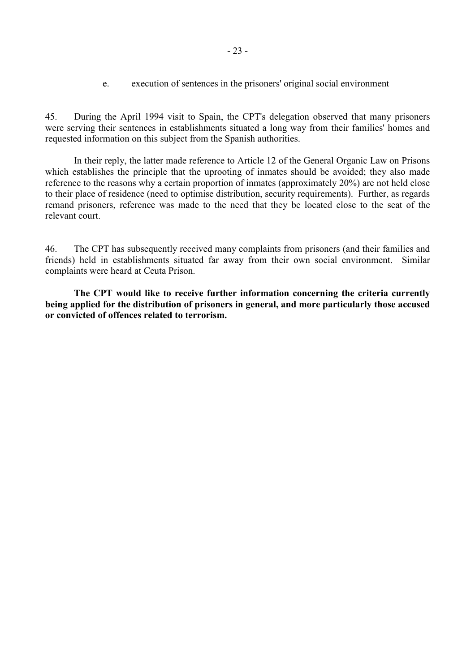<span id="page-24-0"></span>45. During the April 1994 visit to Spain, the CPT's delegation observed that many prisoners were serving their sentences in establishments situated a long way from their families' homes and requested information on this subject from the Spanish authorities.

 In their reply, the latter made reference to Article 12 of the General Organic Law on Prisons which establishes the principle that the uprooting of inmates should be avoided; they also made reference to the reasons why a certain proportion of inmates (approximately 20%) are not held close to their place of residence (need to optimise distribution, security requirements). Further, as regards remand prisoners, reference was made to the need that they be located close to the seat of the relevant court.

46. The CPT has subsequently received many complaints from prisoners (and their families and friends) held in establishments situated far away from their own social environment. Similar complaints were heard at Ceuta Prison.

 **The CPT would like to receive further information concerning the criteria currently being applied for the distribution of prisoners in general, and more particularly those accused or convicted of offences related to terrorism.**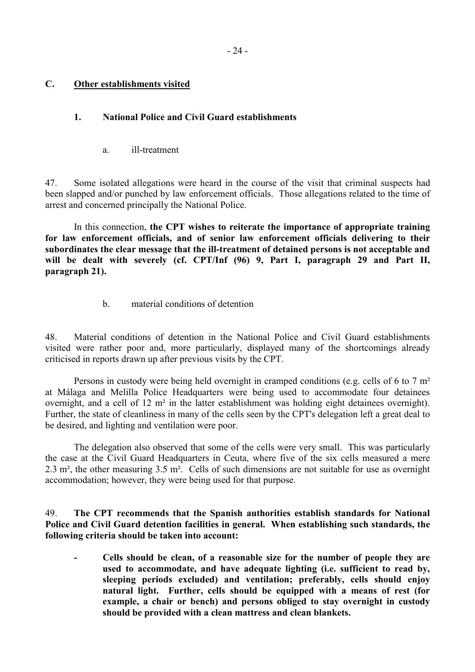### <span id="page-25-0"></span>**C. Other establishments visited**

### **1. National Police and Civil Guard establishments**

a. ill-treatment

47. Some isolated allegations were heard in the course of the visit that criminal suspects had been slapped and/or punched by law enforcement officials. Those allegations related to the time of arrest and concerned principally the National Police.

 In this connection, **the CPT wishes to reiterate the importance of appropriate training for law enforcement officials, and of senior law enforcement officials delivering to their subordinates the clear message that the ill-treatment of detained persons is not acceptable and will be dealt with severely (cf. CPT/Inf (96) 9, Part I, paragraph 29 and Part II, paragraph 21).** 

b. material conditions of detention

48. Material conditions of detention in the National Police and Civil Guard establishments visited were rather poor and, more particularly, displayed many of the shortcomings already criticised in reports drawn up after previous visits by the CPT.

 Persons in custody were being held overnight in cramped conditions (e.g. cells of 6 to 7 m² at Málaga and Melilla Police Headquarters were being used to accommodate four detainees overnight, and a cell of 12 m² in the latter establishment was holding eight detainees overnight). Further, the state of cleanliness in many of the cells seen by the CPT's delegation left a great deal to be desired, and lighting and ventilation were poor.

 The delegation also observed that some of the cells were very small. This was particularly the case at the Civil Guard Headquarters in Ceuta, where five of the six cells measured a mere 2.3 m², the other measuring 3.5 m². Cells of such dimensions are not suitable for use as overnight accommodation; however, they were being used for that purpose.

49. **The CPT recommends that the Spanish authorities establish standards for National Police and Civil Guard detention facilities in general. When establishing such standards, the following criteria should be taken into account:** 

 **- Cells should be clean, of a reasonable size for the number of people they are used to accommodate, and have adequate lighting (i.e. sufficient to read by, sleeping periods excluded) and ventilation; preferably, cells should enjoy natural light. Further, cells should be equipped with a means of rest (for example, a chair or bench) and persons obliged to stay overnight in custody should be provided with a clean mattress and clean blankets.**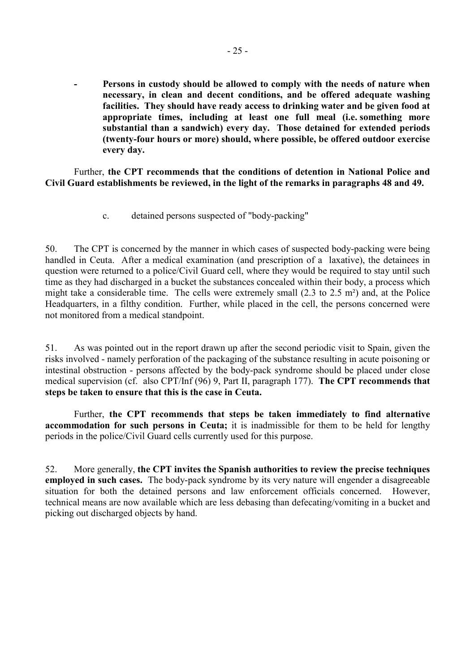<span id="page-26-0"></span>Persons in custody should be allowed to comply with the needs of nature when **necessary, in clean and decent conditions, and be offered adequate washing facilities. They should have ready access to drinking water and be given food at appropriate times, including at least one full meal (i.e. something more substantial than a sandwich) every day. Those detained for extended periods (twenty-four hours or more) should, where possible, be offered outdoor exercise every day.** 

 Further, **the CPT recommends that the conditions of detention in National Police and Civil Guard establishments be reviewed, in the light of the remarks in paragraphs 48 and 49.** 

c. detained persons suspected of "body-packing"

50. The CPT is concerned by the manner in which cases of suspected body-packing were being handled in Ceuta. After a medical examination (and prescription of a laxative), the detainees in question were returned to a police/Civil Guard cell, where they would be required to stay until such time as they had discharged in a bucket the substances concealed within their body, a process which might take a considerable time. The cells were extremely small (2.3 to 2.5 m²) and, at the Police Headquarters, in a filthy condition. Further, while placed in the cell, the persons concerned were not monitored from a medical standpoint.

51. As was pointed out in the report drawn up after the second periodic visit to Spain, given the risks involved - namely perforation of the packaging of the substance resulting in acute poisoning or intestinal obstruction - persons affected by the body-pack syndrome should be placed under close medical supervision (cf. also CPT/Inf (96) 9, Part II, paragraph 177). **The CPT recommends that steps be taken to ensure that this is the case in Ceuta.** 

 Further, **the CPT recommends that steps be taken immediately to find alternative accommodation for such persons in Ceuta;** it is inadmissible for them to be held for lengthy periods in the police/Civil Guard cells currently used for this purpose.

52. More generally, **the CPT invites the Spanish authorities to review the precise techniques employed in such cases.** The body-pack syndrome by its very nature will engender a disagreeable situation for both the detained persons and law enforcement officials concerned. However, technical means are now available which are less debasing than defecating/vomiting in a bucket and picking out discharged objects by hand.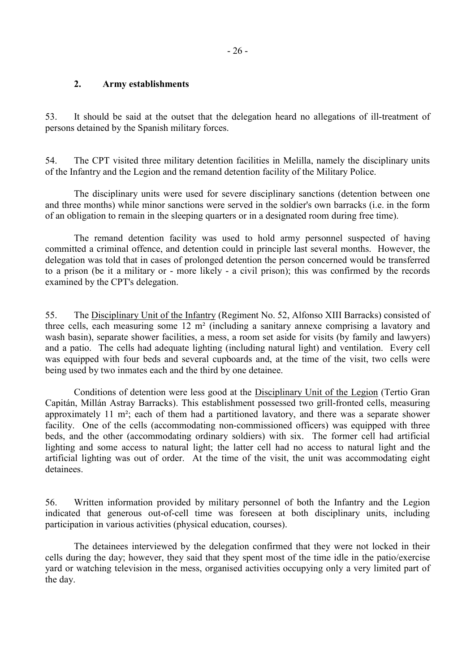### <span id="page-27-0"></span>**2. Army establishments**

53. It should be said at the outset that the delegation heard no allegations of ill-treatment of persons detained by the Spanish military forces.

54. The CPT visited three military detention facilities in Melilla, namely the disciplinary units of the Infantry and the Legion and the remand detention facility of the Military Police.

 The disciplinary units were used for severe disciplinary sanctions (detention between one and three months) while minor sanctions were served in the soldier's own barracks (i.e. in the form of an obligation to remain in the sleeping quarters or in a designated room during free time).

 The remand detention facility was used to hold army personnel suspected of having committed a criminal offence, and detention could in principle last several months. However, the delegation was told that in cases of prolonged detention the person concerned would be transferred to a prison (be it a military or - more likely - a civil prison); this was confirmed by the records examined by the CPT's delegation.

55. The Disciplinary Unit of the Infantry (Regiment No. 52, Alfonso XIII Barracks) consisted of three cells, each measuring some 12 m² (including a sanitary annexe comprising a lavatory and wash basin), separate shower facilities, a mess, a room set aside for visits (by family and lawyers) and a patio. The cells had adequate lighting (including natural light) and ventilation. Every cell was equipped with four beds and several cupboards and, at the time of the visit, two cells were being used by two inmates each and the third by one detainee.

 Conditions of detention were less good at the Disciplinary Unit of the Legion (Tertio Gran Capitán, Millán Astray Barracks). This establishment possessed two grill-fronted cells, measuring approximately 11 m²; each of them had a partitioned lavatory, and there was a separate shower facility. One of the cells (accommodating non-commissioned officers) was equipped with three beds, and the other (accommodating ordinary soldiers) with six. The former cell had artificial lighting and some access to natural light; the latter cell had no access to natural light and the artificial lighting was out of order. At the time of the visit, the unit was accommodating eight detainees.

56. Written information provided by military personnel of both the Infantry and the Legion indicated that generous out-of-cell time was foreseen at both disciplinary units, including participation in various activities (physical education, courses).

 The detainees interviewed by the delegation confirmed that they were not locked in their cells during the day; however, they said that they spent most of the time idle in the patio/exercise yard or watching television in the mess, organised activities occupying only a very limited part of the day.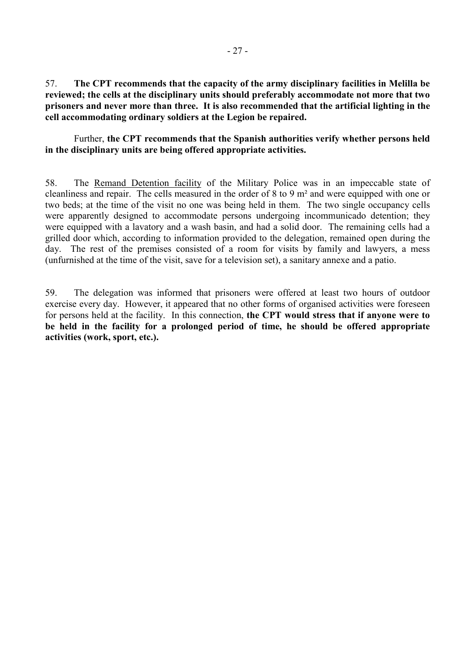57. **The CPT recommends that the capacity of the army disciplinary facilities in Melilla be reviewed; the cells at the disciplinary units should preferably accommodate not more that two prisoners and never more than three. It is also recommended that the artificial lighting in the cell accommodating ordinary soldiers at the Legion be repaired.** 

 Further, **the CPT recommends that the Spanish authorities verify whether persons held in the disciplinary units are being offered appropriate activities.**

58. The Remand Detention facility of the Military Police was in an impeccable state of cleanliness and repair. The cells measured in the order of 8 to 9 m² and were equipped with one or two beds; at the time of the visit no one was being held in them. The two single occupancy cells were apparently designed to accommodate persons undergoing incommunicado detention; they were equipped with a lavatory and a wash basin, and had a solid door. The remaining cells had a grilled door which, according to information provided to the delegation, remained open during the day. The rest of the premises consisted of a room for visits by family and lawyers, a mess (unfurnished at the time of the visit, save for a television set), a sanitary annexe and a patio.

59. The delegation was informed that prisoners were offered at least two hours of outdoor exercise every day. However, it appeared that no other forms of organised activities were foreseen for persons held at the facility. In this connection, **the CPT would stress that if anyone were to be held in the facility for a prolonged period of time, he should be offered appropriate activities (work, sport, etc.).**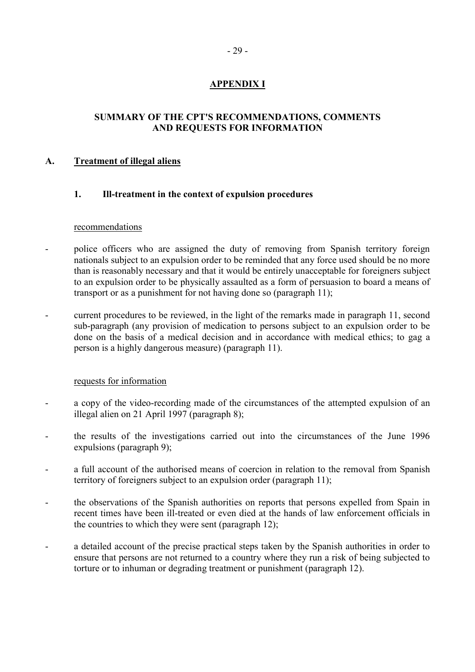### **APPENDIX I**

### <span id="page-30-0"></span>**SUMMARY OF THE CPT'S RECOMMENDATIONS, COMMENTS AND REQUESTS FOR INFORMATION**

### **A. Treatment of illegal aliens**

#### **1. Ill-treatment in the context of expulsion procedures**

#### recommendations

- police officers who are assigned the duty of removing from Spanish territory foreign nationals subject to an expulsion order to be reminded that any force used should be no more than is reasonably necessary and that it would be entirely unacceptable for foreigners subject to an expulsion order to be physically assaulted as a form of persuasion to board a means of transport or as a punishment for not having done so (paragraph 11);
- current procedures to be reviewed, in the light of the remarks made in paragraph 11, second sub-paragraph (any provision of medication to persons subject to an expulsion order to be done on the basis of a medical decision and in accordance with medical ethics; to gag a person is a highly dangerous measure) (paragraph 11).

#### requests for information

- a copy of the video-recording made of the circumstances of the attempted expulsion of an illegal alien on 21 April 1997 (paragraph 8);
- the results of the investigations carried out into the circumstances of the June 1996 expulsions (paragraph 9);
- a full account of the authorised means of coercion in relation to the removal from Spanish territory of foreigners subject to an expulsion order (paragraph 11);
- the observations of the Spanish authorities on reports that persons expelled from Spain in recent times have been ill-treated or even died at the hands of law enforcement officials in the countries to which they were sent (paragraph 12);
- a detailed account of the precise practical steps taken by the Spanish authorities in order to ensure that persons are not returned to a country where they run a risk of being subjected to torture or to inhuman or degrading treatment or punishment (paragraph 12).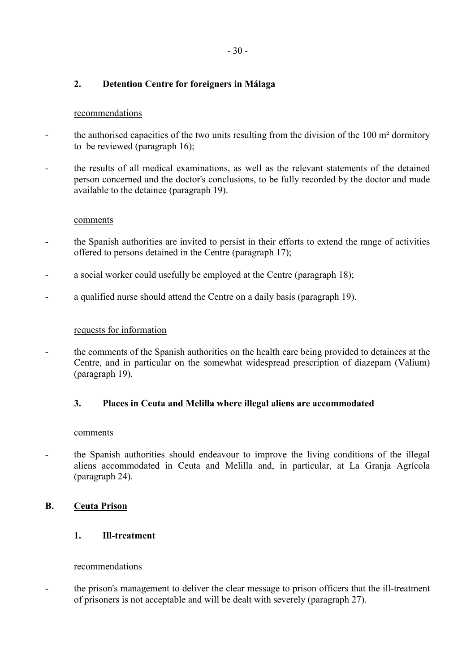### **2. Detention Centre for foreigners in Málaga**

### recommendations

- the authorised capacities of the two units resulting from the division of the 100 m<sup>2</sup> dormitory to be reviewed (paragraph 16);
- the results of all medical examinations, as well as the relevant statements of the detained person concerned and the doctor's conclusions, to be fully recorded by the doctor and made available to the detainee (paragraph 19).

#### comments

- the Spanish authorities are invited to persist in their efforts to extend the range of activities offered to persons detained in the Centre (paragraph 17);
- a social worker could usefully be employed at the Centre (paragraph 18);
- a qualified nurse should attend the Centre on a daily basis (paragraph 19).

#### requests for information

the comments of the Spanish authorities on the health care being provided to detainees at the Centre, and in particular on the somewhat widespread prescription of diazepam (Valium) (paragraph 19).

#### **3. Places in Ceuta and Melilla where illegal aliens are accommodated**

#### comments

- the Spanish authorities should endeavour to improve the living conditions of the illegal aliens accommodated in Ceuta and Melilla and, in particular, at La Granja Agrícola (paragraph 24).

### **B. Ceuta Prison**

#### **1. Ill-treatment**

#### recommendations

- the prison's management to deliver the clear message to prison officers that the ill-treatment of prisoners is not acceptable and will be dealt with severely (paragraph 27).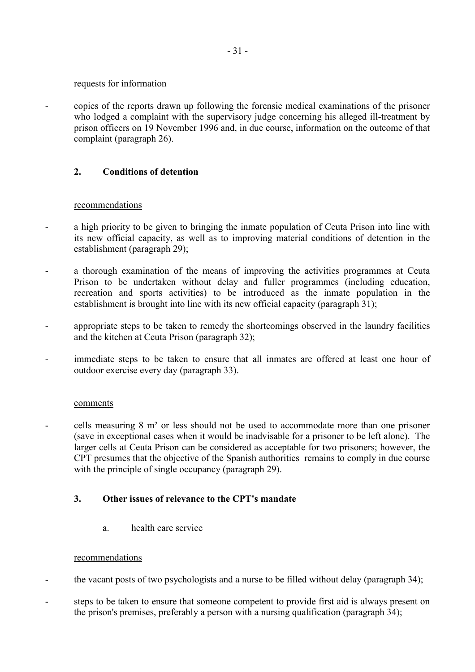#### requests for information

- copies of the reports drawn up following the forensic medical examinations of the prisoner who lodged a complaint with the supervisory judge concerning his alleged ill-treatment by prison officers on 19 November 1996 and, in due course, information on the outcome of that complaint (paragraph 26).

### **2. Conditions of detention**

#### recommendations

- a high priority to be given to bringing the inmate population of Ceuta Prison into line with its new official capacity, as well as to improving material conditions of detention in the establishment (paragraph 29);
- a thorough examination of the means of improving the activities programmes at Ceuta Prison to be undertaken without delay and fuller programmes (including education, recreation and sports activities) to be introduced as the inmate population in the establishment is brought into line with its new official capacity (paragraph 31);
- appropriate steps to be taken to remedy the shortcomings observed in the laundry facilities and the kitchen at Ceuta Prison (paragraph 32);
- immediate steps to be taken to ensure that all inmates are offered at least one hour of outdoor exercise every day (paragraph 33).

#### comments

- cells measuring 8 m² or less should not be used to accommodate more than one prisoner (save in exceptional cases when it would be inadvisable for a prisoner to be left alone). The larger cells at Ceuta Prison can be considered as acceptable for two prisoners; however, the CPT presumes that the objective of the Spanish authorities remains to comply in due course with the principle of single occupancy (paragraph 29).

### **3. Other issues of relevance to the CPT's mandate**

a. health care service

#### recommendations

- the vacant posts of two psychologists and a nurse to be filled without delay (paragraph 34);
- steps to be taken to ensure that someone competent to provide first aid is always present on the prison's premises, preferably a person with a nursing qualification (paragraph 34);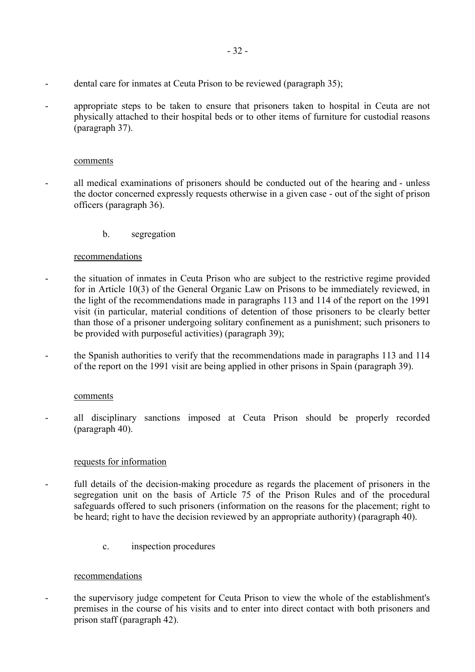- dental care for inmates at Ceuta Prison to be reviewed (paragraph 35);
- appropriate steps to be taken to ensure that prisoners taken to hospital in Ceuta are not physically attached to their hospital beds or to other items of furniture for custodial reasons (paragraph 37).

#### comments

- all medical examinations of prisoners should be conducted out of the hearing and unless the doctor concerned expressly requests otherwise in a given case - out of the sight of prison officers (paragraph 36).
	- b. segregation

#### recommendations

- the situation of inmates in Ceuta Prison who are subject to the restrictive regime provided for in Article 10(3) of the General Organic Law on Prisons to be immediately reviewed, in the light of the recommendations made in paragraphs 113 and 114 of the report on the 1991 visit (in particular, material conditions of detention of those prisoners to be clearly better than those of a prisoner undergoing solitary confinement as a punishment; such prisoners to be provided with purposeful activities) (paragraph 39);
- the Spanish authorities to verify that the recommendations made in paragraphs 113 and 114 of the report on the 1991 visit are being applied in other prisons in Spain (paragraph 39).

#### comments

- all disciplinary sanctions imposed at Ceuta Prison should be properly recorded (paragraph 40).

#### requests for information

- full details of the decision-making procedure as regards the placement of prisoners in the segregation unit on the basis of Article 75 of the Prison Rules and of the procedural safeguards offered to such prisoners (information on the reasons for the placement; right to be heard; right to have the decision reviewed by an appropriate authority) (paragraph 40).
	- c. inspection procedures

#### recommendations

- the supervisory judge competent for Ceuta Prison to view the whole of the establishment's premises in the course of his visits and to enter into direct contact with both prisoners and prison staff (paragraph 42).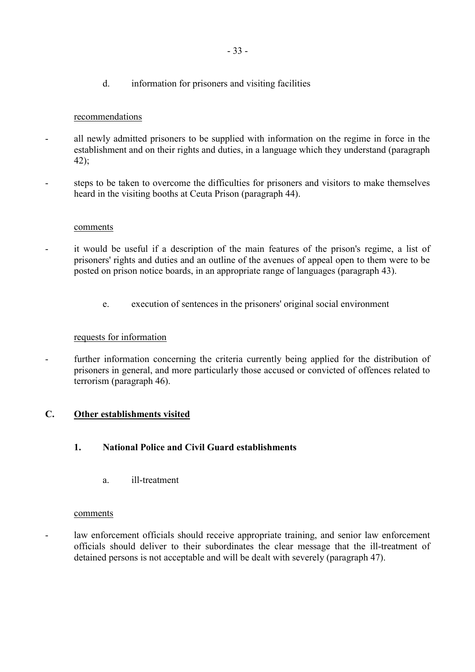d. information for prisoners and visiting facilities

### recommendations

- all newly admitted prisoners to be supplied with information on the regime in force in the establishment and on their rights and duties, in a language which they understand (paragraph 42);
- steps to be taken to overcome the difficulties for prisoners and visitors to make themselves heard in the visiting booths at Ceuta Prison (paragraph 44).

#### comments

- it would be useful if a description of the main features of the prison's regime, a list of prisoners' rights and duties and an outline of the avenues of appeal open to them were to be posted on prison notice boards, in an appropriate range of languages (paragraph 43).
	- e. execution of sentences in the prisoners' original social environment

### requests for information

- further information concerning the criteria currently being applied for the distribution of prisoners in general, and more particularly those accused or convicted of offences related to terrorism (paragraph 46).

### **C. Other establishments visited**

- **1. National Police and Civil Guard establishments**
	- a. ill-treatment

#### comments

- law enforcement officials should receive appropriate training, and senior law enforcement officials should deliver to their subordinates the clear message that the ill-treatment of detained persons is not acceptable and will be dealt with severely (paragraph 47).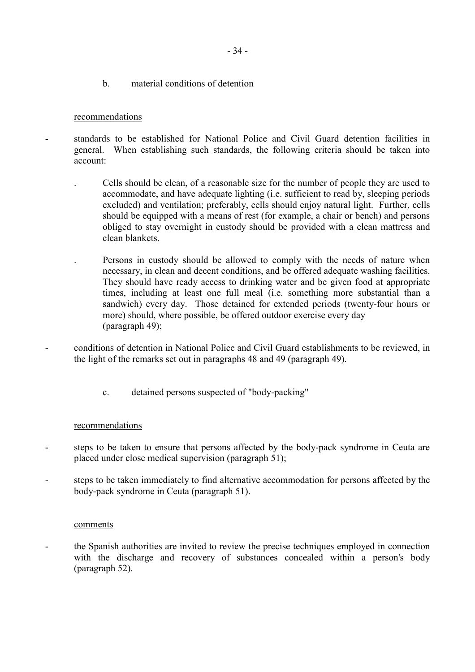b. material conditions of detention

#### recommendations

- standards to be established for National Police and Civil Guard detention facilities in general. When establishing such standards, the following criteria should be taken into account:

- . Cells should be clean, of a reasonable size for the number of people they are used to accommodate, and have adequate lighting (i.e. sufficient to read by, sleeping periods excluded) and ventilation; preferably, cells should enjoy natural light. Further, cells should be equipped with a means of rest (for example, a chair or bench) and persons obliged to stay overnight in custody should be provided with a clean mattress and clean blankets.
- . Persons in custody should be allowed to comply with the needs of nature when necessary, in clean and decent conditions, and be offered adequate washing facilities. They should have ready access to drinking water and be given food at appropriate times, including at least one full meal (i.e. something more substantial than a sandwich) every day. Those detained for extended periods (twenty-four hours or more) should, where possible, be offered outdoor exercise every day (paragraph 49);
- conditions of detention in National Police and Civil Guard establishments to be reviewed, in the light of the remarks set out in paragraphs 48 and 49 (paragraph 49).
	- c. detained persons suspected of "body-packing"

#### recommendations

- steps to be taken to ensure that persons affected by the body-pack syndrome in Ceuta are placed under close medical supervision (paragraph 51);
- steps to be taken immediately to find alternative accommodation for persons affected by the body-pack syndrome in Ceuta (paragraph 51).

#### comments

- the Spanish authorities are invited to review the precise techniques employed in connection with the discharge and recovery of substances concealed within a person's body (paragraph 52).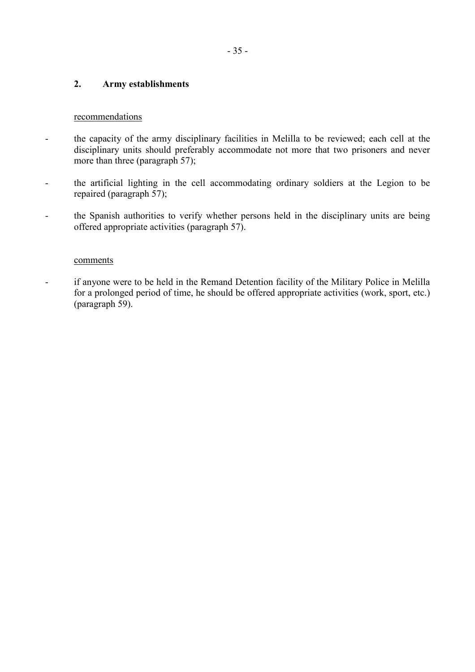### **2. Army establishments**

#### recommendations

- the capacity of the army disciplinary facilities in Melilla to be reviewed; each cell at the disciplinary units should preferably accommodate not more that two prisoners and never more than three (paragraph 57);
- the artificial lighting in the cell accommodating ordinary soldiers at the Legion to be repaired (paragraph 57);
- the Spanish authorities to verify whether persons held in the disciplinary units are being offered appropriate activities (paragraph 57).

#### comments

- if anyone were to be held in the Remand Detention facility of the Military Police in Melilla for a prolonged period of time, he should be offered appropriate activities (work, sport, etc.) (paragraph 59).